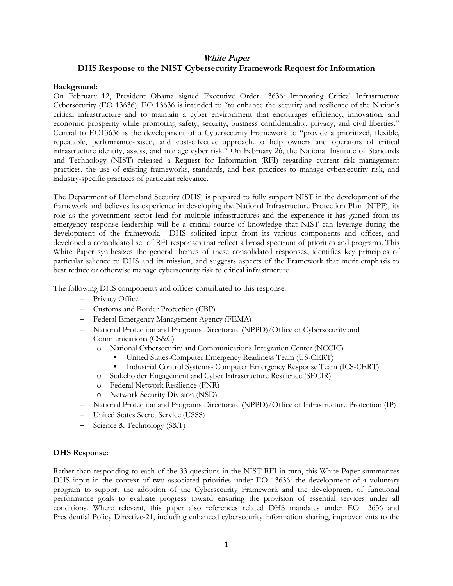# **White Paper DHS Response to the NIST Cybersecurity Framework Request for Information**

### **Background:**

On February 12, President Obama signed Executive Order 13636: Improving Critical Infrastructure Cybersecurity (EO 13636). EO 13636 is intended to "to enhance the security and resilience of the Nation's critical infrastructure and to maintain a cyber environment that encourages efficiency, innovation, and economic prosperity while promoting safety, security, business confidentiality, privacy, and civil liberties." Central to EO13636 is the development of a Cybersecurity Framework to "provide a prioritized, flexible, repeatable, performance-based, and cost-effective approach...to help owners and operators of critical infrastructure identify, assess, and manage cyber risk." On February 26, the National Institute of Standards and Technology (NIST) released a Request for Information (RFI) regarding current risk management practices, the use of existing frameworks, standards, and best practices to manage cybersecurity risk, and industry-specific practices of particular relevance.

The Department of Homeland Security (DHS) is prepared to fully support NIST in the development of the framework and believes its experience in developing the National Infrastructure Protection Plan (NIPP), its role as the government sector lead for multiple infrastructures and the experience it has gained from its emergency response leadership will be a critical source of knowledge that NIST can leverage during the development of the framework. DHS solicited input from its various components and offices, and developed a consolidated set of RFI responses that reflect a broad spectrum of priorities and programs. This White Paper synthesizes the general themes of these consolidated responses, identifies key principles of particular salience to DHS and its mission, and suggests aspects of the Framework that merit emphasis to best reduce or otherwise manage cybersecurity risk to critical infrastructure.

The following DHS components and offices contributed to this response:

- Privacy Office
- Customs and Border Protection (CBP)
- Federal Emergency Management Agency (FEMA)
- National Protection and Programs Directorate (NPPD)/Office of Cybersecurity and Communications (CS&C)
	- o National Cybersecurity and Communications Integration Center (NCCIC)
		- United States-Computer Emergency Readiness Team (US-CERT)
		- Industrial Control Systems- Computer Emergency Response Team (ICS-CERT)
	- o Stakeholder Engagement and Cyber Infrastructure Resilience (SECIR)
	- o Federal Network Resilience (FNR)
	- o Network Security Division (NSD)
- National Protection and Programs Directorate (NPPD)/Office of Infrastructure Protection (IP)
- United States Secret Service (USSS)
- Science & Technology (S&T)

#### **DHS Response:**

Rather than responding to each of the 33 questions in the NIST RFI in turn, this White Paper summarizes DHS input in the context of two associated priorities under EO 13636: the development of a voluntary program to support the adoption of the Cybersecurity Framework and the development of functional performance goals to evaluate progress toward ensuring the provision of essential services under all conditions. Where relevant, this paper also references related DHS mandates under EO 13636 and Presidential Policy Directive-21, including enhanced cybersecurity information sharing, improvements to the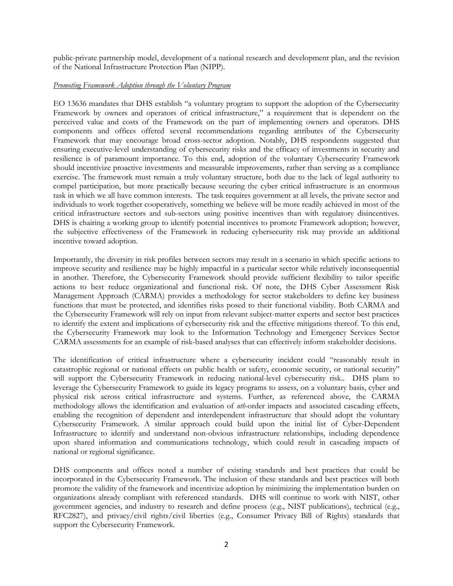public-private partnership model, development of a national research and development plan, and the revision of the National Infrastructure Protection Plan (NIPP).

## *Promoting Framework Adoption through the Voluntary Program*

EO 13636 mandates that DHS establish "a voluntary program to support the adoption of the Cybersecurity Framework by owners and operators of critical infrastructure," a requirement that is dependent on the perceived value and costs of the Framework on the part of implementing owners and operators. DHS components and offices offered several recommendations regarding attributes of the Cybersecurity Framework that may encourage broad cross-sector adoption. Notably, DHS respondents suggested that ensuring executive-level understanding of cybersecurity risks and the efficacy of investments in security and resilience is of paramount importance. To this end, adoption of the voluntary Cybersecurity Framework should incentivize proactive investments and measurable improvements, rather than serving as a compliance exercise. The framework must remain a truly voluntary structure, both due to the lack of legal authority to compel participation, but more practically because securing the cyber critical infrastructure is an enormous task in which we all have common interests. The task requires government at all levels, the private sector and individuals to work together cooperatively, something we believe will be more readily achieved in most of the critical infrastructure sectors and sub-sectors using positive incentives than with regulatory disincentives. DHS is chairing a working group to identify potential incentives to promote Framework adoption; however, the subjective effectiveness of the Framework in reducing cybersecurity risk may provide an additional incentive toward adoption.

Importantly, the diversity in risk profiles between sectors may result in a scenario in which specific actions to improve security and resilience may be highly impactful in a particular sector while relatively inconsequential in another. Therefore, the Cybersecurity Framework should provide sufficient flexibility to tailor specific actions to best reduce organizational and functional risk. Of note, the DHS Cyber Assessment Risk Management Approach (CARMA) provides a methodology for sector stakeholders to define key business functions that must be protected, and identifies risks posed to their functional viability. Both CARMA and the Cybersecurity Framework will rely on input from relevant subject-matter experts and sector best practices to identify the extent and implications of cybersecurity risk and the effective mitigations thereof. To this end, the Cybersecurity Framework may look to the Information Technology and Emergency Services Sector CARMA assessments for an example of risk-based analyses that can effectively inform stakeholder decisions.

The identification of critical infrastructure where a cybersecurity incident could "reasonably result in catastrophic regional or national effects on public health or safety, economic security, or national security" will support the Cybersecurity Framework in reducing national-level cybersecurity risk.. DHS plans to leverage the Cybersecurity Framework to guide its legacy programs to assess, on a voluntary basis, cyber and physical risk across critical infrastructure and systems. Further, as referenced above, the CARMA methodology allows the identification and evaluation of *nth-*order impacts and associated cascading effects, enabling the recognition of dependent and interdependent infrastructure that should adopt the voluntary Cybersecurity Framework. A similar approach could build upon the initial list of Cyber-Dependent Infrastructure to identify and understand non-obvious infrastructure relationships, including dependence upon shared information and communications technology, which could result in cascading impacts of national or regional significance.

DHS components and offices noted a number of existing standards and best practices that could be incorporated in the Cybersecurity Framework. The inclusion of these standards and best practices will both promote the validity of the framework and incentivize adoption by minimizing the implementation burden on organizations already compliant with referenced standards. DHS will continue to work with NIST, other government agencies, and industry to research and define process (e.g., NIST publications), technical (e.g., RFC2827), and privacy/civil rights/civil liberties (e.g., Consumer Privacy Bill of Rights) standards that support the Cybersecurity Framework.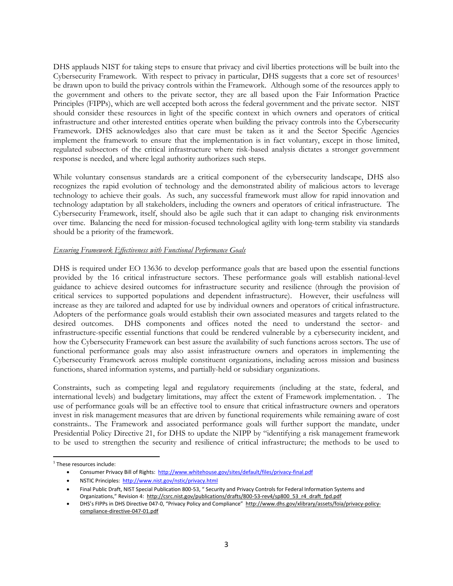DHS applauds NIST for taking steps to ensure that privacy and civil liberties protections will be built into the Cybersecurity Framework. With respect to privacy in particular, DHS suggests that a core set of resources<sup>1</sup> be drawn upon to build the privacy controls within the Framework. Although some of the resources apply to the government and others to the private sector, they are all based upon the Fair Information Practice Principles (FIPPs), which are well accepted both across the federal government and the private sector. NIST should consider these resources in light of the specific context in which owners and operators of critical infrastructure and other interested entities operate when building the privacy controls into the Cybersecurity Framework. DHS acknowledges also that care must be taken as it and the Sector Specific Agencies implement the framework to ensure that the implementation is in fact voluntary, except in those limited, regulated subsectors of the critical infrastructure where risk-based analysis dictates a stronger government response is needed, and where legal authority authorizes such steps.

While voluntary consensus standards are a critical component of the cybersecurity landscape, DHS also recognizes the rapid evolution of technology and the demonstrated ability of malicious actors to leverage technology to achieve their goals. As such, any successful framework must allow for rapid innovation and technology adaptation by all stakeholders, including the owners and operators of critical infrastructure. The Cybersecurity Framework, itself, should also be agile such that it can adapt to changing risk environments over time. Balancing the need for mission-focused technological agility with long-term stability via standards should be a priority of the framework.

# *Ensuring Framework Effectiveness with Functional Performance Goals*

DHS is required under EO 13636 to develop performance goals that are based upon the essential functions provided by the 16 critical infrastructure sectors. These performance goals will establish national-level guidance to achieve desired outcomes for infrastructure security and resilience (through the provision of critical services to supported populations and dependent infrastructure). However, their usefulness will increase as they are tailored and adapted for use by individual owners and operators of critical infrastructure. Adopters of the performance goals would establish their own associated measures and targets related to the desired outcomes. DHS components and offices noted the need to understand the sector- and infrastructure-specific essential functions that could be rendered vulnerable by a cybersecurity incident, and how the Cybersecurity Framework can best assure the availability of such functions across sectors. The use of functional performance goals may also assist infrastructure owners and operators in implementing the Cybersecurity Framework across multiple constituent organizations, including across mission and business functions, shared information systems, and partially-held or subsidiary organizations.

Constraints, such as competing legal and regulatory requirements (including at the state, federal, and international levels) and budgetary limitations, may affect the extent of Framework implementation. . The use of performance goals will be an effective tool to ensure that critical infrastructure owners and operators invest in risk management measures that are driven by functional requirements while remaining aware of cost constraints.. The Framework and associated performance goals will further support the mandate, under Presidential Policy Directive 21, for DHS to update the NIPP by "identifying a risk management framework to be used to strengthen the security and resilience of critical infrastructure; the methods to be used to

 1 These resources include:

Consumer Privacy Bill of Rights: <http://www.whitehouse.gov/sites/default/files/privacy-final.pdf>

NSTIC Principles: <http://www.nist.gov/nstic/privacy.html>

Final Public Draft, NIST Special Publication 800-53, " Security and Privacy Controls for Federal Information Systems and Organizations," Revision 4: [http://csrc.nist.gov/publications/drafts/800-53-rev4/sp800\\_53\\_r4\\_draft\\_fpd.pdf](http://csrc.nist.gov/publications/drafts/800-53-rev4/sp800_53_r4_draft_fpd.pdf)

DHS's FIPPs in DHS Directive 047-0, "Privacy Policy and Compliance" [http://www.dhs.gov/xlibrary/assets/foia/privacy-policy](http://www.dhs.gov/xlibrary/assets/foia/privacy-policy-compliance-directive-047-01.pdf)[compliance-directive-047-01.pdf](http://www.dhs.gov/xlibrary/assets/foia/privacy-policy-compliance-directive-047-01.pdf)